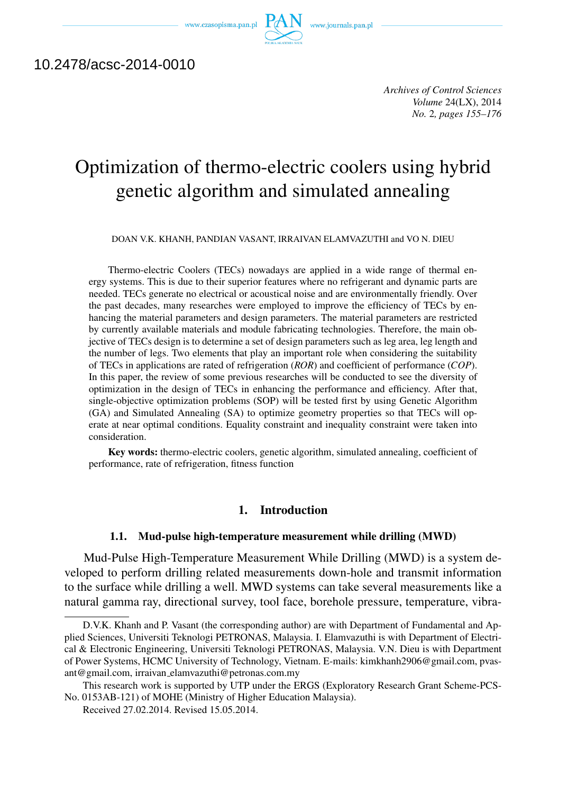www.czasopisma.pan.pl  $PA$ 



# 10.2478/acsc-2014-0010

*Archives of Control Sciences Volume* 24(LX), 2014 *No.* 2*, pages 155–176*

# Optimization of thermo-electric coolers using hybrid genetic algorithm and simulated annealing

DOAN V.K. KHANH, PANDIAN VASANT, IRRAIVAN ELAMVAZUTHI and VO N. DIEU

Thermo-electric Coolers (TECs) nowadays are applied in a wide range of thermal energy systems. This is due to their superior features where no refrigerant and dynamic parts are needed. TECs generate no electrical or acoustical noise and are environmentally friendly. Over the past decades, many researches were employed to improve the efficiency of TECs by enhancing the material parameters and design parameters. The material parameters are restricted by currently available materials and module fabricating technologies. Therefore, the main objective of TECs design is to determine a set of design parameters such as leg area, leg length and the number of legs. Two elements that play an important role when considering the suitability of TECs in applications are rated of refrigeration (*ROR*) and coefficient of performance (*COP*). In this paper, the review of some previous researches will be conducted to see the diversity of optimization in the design of TECs in enhancing the performance and efficiency. After that, single-objective optimization problems (SOP) will be tested first by using Genetic Algorithm (GA) and Simulated Annealing (SA) to optimize geometry properties so that TECs will operate at near optimal conditions. Equality constraint and inequality constraint were taken into consideration.

Key words: thermo-electric coolers, genetic algorithm, simulated annealing, coefficient of performance, rate of refrigeration, fitness function

# 1. Introduction

#### 1.1. Mud-pulse high-temperature measurement while drilling (MWD)

Mud-Pulse High-Temperature Measurement While Drilling (MWD) is a system developed to perform drilling related measurements down-hole and transmit information to the surface while drilling a well. MWD systems can take several measurements like a natural gamma ray, directional survey, tool face, borehole pressure, temperature, vibra-

D.V.K. Khanh and P. Vasant (the corresponding author) are with Department of Fundamental and Applied Sciences, Universiti Teknologi PETRONAS, Malaysia. I. Elamvazuthi is with Department of Electrical & Electronic Engineering, Universiti Teknologi PETRONAS, Malaysia. V.N. Dieu is with Department of Power Systems, HCMC University of Technology, Vietnam. E-mails: kimkhanh2906@gmail.com, pvasant@gmail.com, irraivan elamvazuthi@petronas.com.my

This research work is supported by UTP under the ERGS (Exploratory Research Grant Scheme-PCS-No. 0153AB-121) of MOHE (Ministry of Higher Education Malaysia).

Received 27.02.2014. Revised 15.05.2014.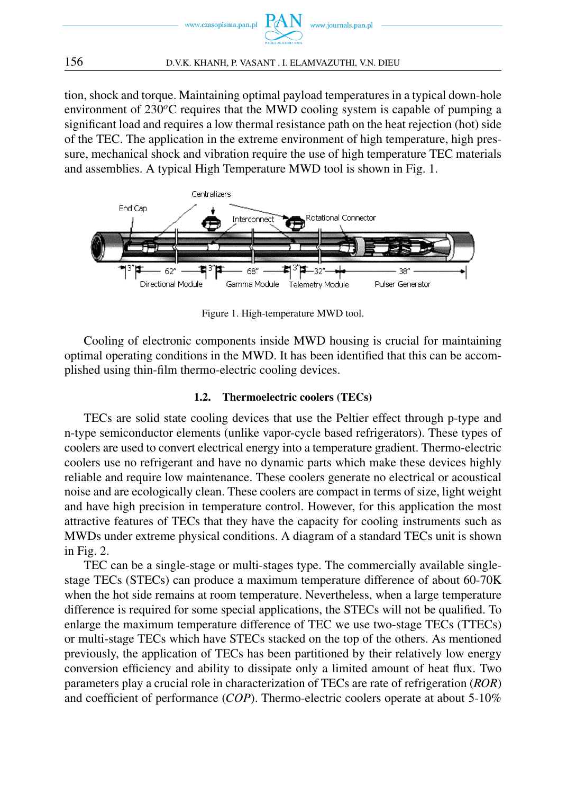

tion, shock and torque. Maintaining optimal payload temperatures in a typical down-hole environment of 230<sup>o</sup>C requires that the MWD cooling system is capable of pumping a significant load and requires a low thermal resistance path on the heat rejection (hot) side of the TEC. The application in the extreme environment of high temperature, high pressure, mechanical shock and vibration require the use of high temperature TEC materials and assemblies. A typical High Temperature MWD tool is shown in Fig. 1.



Figure 1. High-temperature MWD tool.

Cooling of electronic components inside MWD housing is crucial for maintaining optimal operating conditions in the MWD. It has been identified that this can be accomplished using thin-film thermo-electric cooling devices.

### 1.2. Thermoelectric coolers (TECs)

TECs are solid state cooling devices that use the Peltier effect through p-type and n-type semiconductor elements (unlike vapor-cycle based refrigerators). These types of coolers are used to convert electrical energy into a temperature gradient. Thermo-electric coolers use no refrigerant and have no dynamic parts which make these devices highly reliable and require low maintenance. These coolers generate no electrical or acoustical noise and are ecologically clean. These coolers are compact in terms of size, light weight and have high precision in temperature control. However, for this application the most attractive features of TECs that they have the capacity for cooling instruments such as MWDs under extreme physical conditions. A diagram of a standard TECs unit is shown in Fig. 2.

TEC can be a single-stage or multi-stages type. The commercially available singlestage TECs (STECs) can produce a maximum temperature difference of about 60-70K when the hot side remains at room temperature. Nevertheless, when a large temperature difference is required for some special applications, the STECs will not be qualified. To enlarge the maximum temperature difference of TEC we use two-stage TECs (TTECs) or multi-stage TECs which have STECs stacked on the top of the others. As mentioned previously, the application of TECs has been partitioned by their relatively low energy conversion efficiency and ability to dissipate only a limited amount of heat flux. Two parameters play a crucial role in characterization of TECs are rate of refrigeration (*ROR*) and coefficient of performance (*COP*). Thermo-electric coolers operate at about 5-10%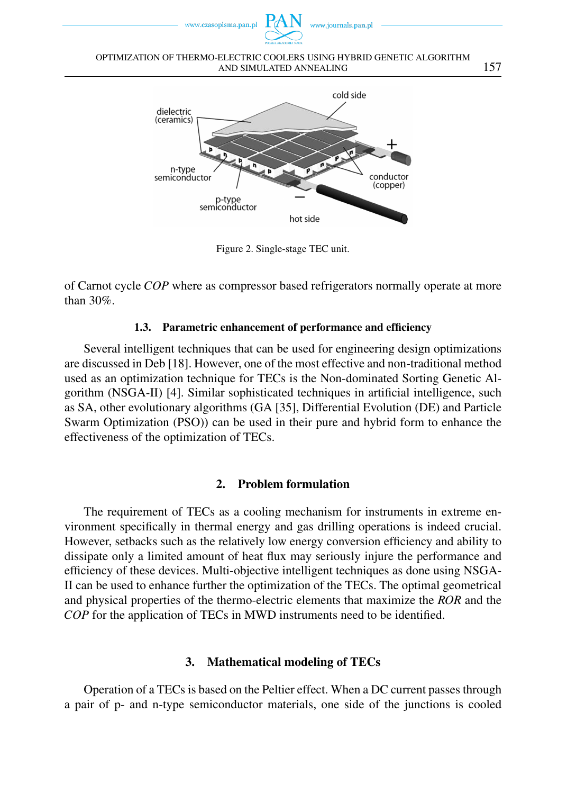

OPTIMIZATION OF THERMO-ELECTRIC COOLERS USING HYBRID GENETIC ALGORITHM AND SIMULATED ANNEALING 157



Figure 2. Single-stage TEC unit.

of Carnot cycle *COP* where as compressor based refrigerators normally operate at more than 30%.

### 1.3. Parametric enhancement of performance and efficiency

Several intelligent techniques that can be used for engineering design optimizations are discussed in Deb [18]. However, one of the most effective and non-traditional method used as an optimization technique for TECs is the Non-dominated Sorting Genetic Algorithm (NSGA-II) [4]. Similar sophisticated techniques in artificial intelligence, such as SA, other evolutionary algorithms (GA [35], Differential Evolution (DE) and Particle Swarm Optimization (PSO)) can be used in their pure and hybrid form to enhance the effectiveness of the optimization of TECs.

# 2. Problem formulation

The requirement of TECs as a cooling mechanism for instruments in extreme environment specifically in thermal energy and gas drilling operations is indeed crucial. However, setbacks such as the relatively low energy conversion efficiency and ability to dissipate only a limited amount of heat flux may seriously injure the performance and efficiency of these devices. Multi-objective intelligent techniques as done using NSGA-II can be used to enhance further the optimization of the TECs. The optimal geometrical and physical properties of the thermo-electric elements that maximize the *ROR* and the *COP* for the application of TECs in MWD instruments need to be identified.

# 3. Mathematical modeling of TECs

Operation of a TECs is based on the Peltier effect. When a DC current passes through a pair of p- and n-type semiconductor materials, one side of the junctions is cooled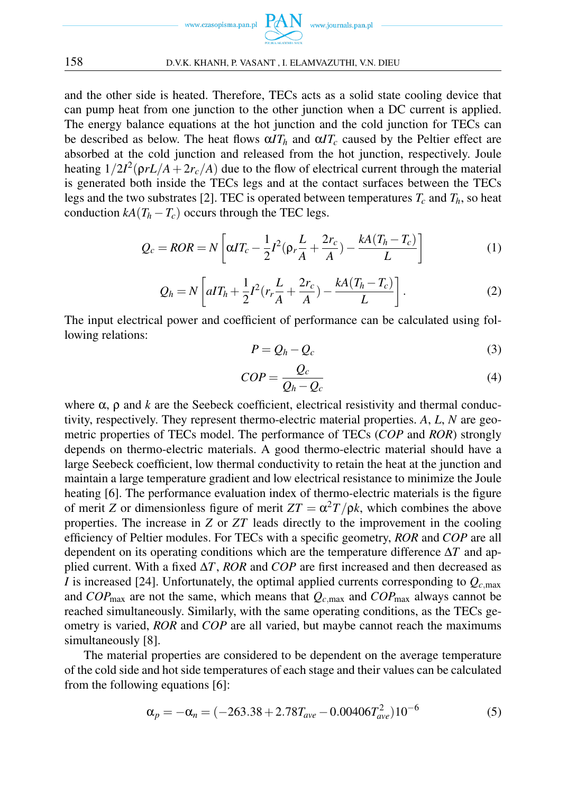

and the other side is heated. Therefore, TECs acts as a solid state cooling device that can pump heat from one junction to the other junction when a DC current is applied. The energy balance equations at the hot junction and the cold junction for TECs can be described as below. The heat flows  $\alpha T_h$  and  $\alpha T_c$  caused by the Peltier effect are absorbed at the cold junction and released from the hot junction, respectively. Joule heating  $1/2I^2(\rho rL/A + 2r_c/A)$  due to the flow of electrical current through the material is generated both inside the TECs legs and at the contact surfaces between the TECs legs and the two substrates [2]. TEC is operated between temperatures  $T_c$  and  $T_h$ , so heat conduction  $kA(T_h - T_c)$  occurs through the TEC legs.

$$
Q_c = ROR = N\left[\alpha IT_c - \frac{1}{2}I^2(\rho_r \frac{L}{A} + \frac{2r_c}{A}) - \frac{kA(T_h - T_c)}{L}\right]
$$
(1)

$$
Q_h = N \left[ aIT_h + \frac{1}{2}I^2(r_r \frac{L}{A} + \frac{2r_c}{A}) - \frac{kA(T_h - T_c)}{L} \right].
$$
 (2)

The input electrical power and coefficient of performance can be calculated using following relations:

$$
P = Q_h - Q_c \tag{3}
$$

$$
COP = \frac{Q_c}{Q_h - Q_c} \tag{4}
$$

where  $\alpha$ ,  $\rho$  and *k* are the Seebeck coefficient, electrical resistivity and thermal conductivity, respectively. They represent thermo-electric material properties. *A*, *L*, *N* are geometric properties of TECs model. The performance of TECs (*COP* and *ROR*) strongly depends on thermo-electric materials. A good thermo-electric material should have a large Seebeck coefficient, low thermal conductivity to retain the heat at the junction and maintain a large temperature gradient and low electrical resistance to minimize the Joule heating [6]. The performance evaluation index of thermo-electric materials is the figure of merit *Z* or dimensionless figure of merit  $ZT = \alpha^2 T / \rho k$ , which combines the above properties. The increase in *Z* or *ZT* leads directly to the improvement in the cooling efficiency of Peltier modules. For TECs with a specific geometry, *ROR* and *COP* are all dependent on its operating conditions which are the temperature difference ∆*T* and applied current. With a fixed ∆*T*, *ROR* and *COP* are first increased and then decreased as *I* is increased [24]. Unfortunately, the optimal applied currents corresponding to  $Q_{c,\text{max}}$ and  $COP_{\text{max}}$  are not the same, which means that  $Q_{c,\text{max}}$  and  $COP_{\text{max}}$  always cannot be reached simultaneously. Similarly, with the same operating conditions, as the TECs geometry is varied, *ROR* and *COP* are all varied, but maybe cannot reach the maximums simultaneously [8].

The material properties are considered to be dependent on the average temperature of the cold side and hot side temperatures of each stage and their values can be calculated from the following equations [6]:

$$
\alpha_p = -\alpha_n = (-263.38 + 2.78T_{ave} - 0.00406T_{ave}^2)10^{-6}
$$
 (5)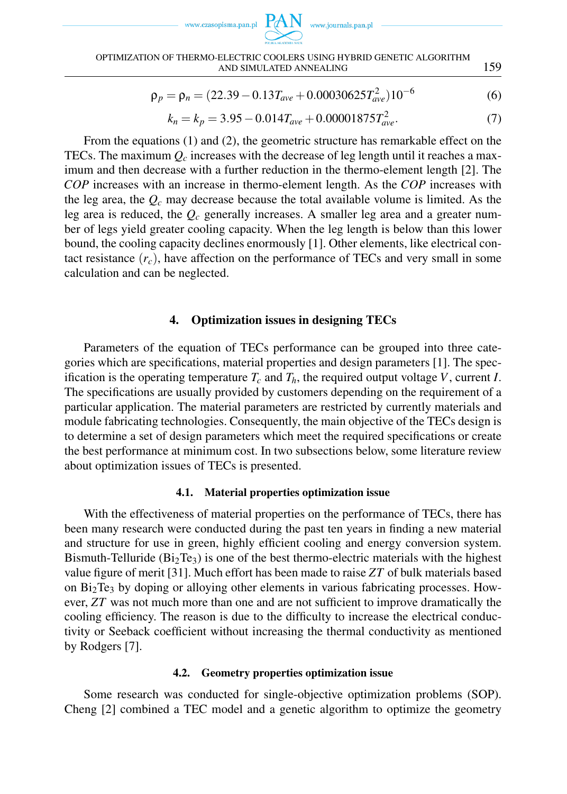



#### OPTIMIZATION OF THERMO-ELECTRIC COOLERS USING HYBRID GENETIC ALGORITHM AND SIMULATED ANNEALING 159

$$
\rho_p = \rho_n = (22.39 - 0.13T_{ave} + 0.00030625T_{ave}^2)10^{-6}
$$
 (6)

$$
k_n = k_p = 3.95 - 0.014T_{ave} + 0.00001875T_{ave}^2.
$$
\n(7)

From the equations (1) and (2), the geometric structure has remarkable effect on the TECs. The maximum  $Q_c$  increases with the decrease of leg length until it reaches a maximum and then decrease with a further reduction in the thermo-element length [2]. The *COP* increases with an increase in thermo-element length. As the *COP* increases with the leg area, the *Q<sup>c</sup>* may decrease because the total available volume is limited. As the leg area is reduced, the *Q<sup>c</sup>* generally increases. A smaller leg area and a greater number of legs yield greater cooling capacity. When the leg length is below than this lower bound, the cooling capacity declines enormously [1]. Other elements, like electrical contact resistance  $(r_c)$ , have affection on the performance of TECs and very small in some calculation and can be neglected.

### 4. Optimization issues in designing TECs

Parameters of the equation of TECs performance can be grouped into three categories which are specifications, material properties and design parameters [1]. The specification is the operating temperature  $T_c$  and  $T_h$ , the required output voltage V, current *I*. The specifications are usually provided by customers depending on the requirement of a particular application. The material parameters are restricted by currently materials and module fabricating technologies. Consequently, the main objective of the TECs design is to determine a set of design parameters which meet the required specifications or create the best performance at minimum cost. In two subsections below, some literature review about optimization issues of TECs is presented.

### 4.1. Material properties optimization issue

With the effectiveness of material properties on the performance of TECs, there has been many research were conducted during the past ten years in finding a new material and structure for use in green, highly efficient cooling and energy conversion system. Bismuth-Telluride  $(Bi<sub>2</sub>Te<sub>3</sub>)$  is one of the best thermo-electric materials with the highest value figure of merit [31]. Much effort has been made to raise *ZT* of bulk materials based on  $Bi<sub>2</sub>Te<sub>3</sub>$  by doping or alloying other elements in various fabricating processes. However, *ZT* was not much more than one and are not sufficient to improve dramatically the cooling efficiency. The reason is due to the difficulty to increase the electrical conductivity or Seeback coefficient without increasing the thermal conductivity as mentioned by Rodgers [7].

### 4.2. Geometry properties optimization issue

Some research was conducted for single-objective optimization problems (SOP). Cheng [2] combined a TEC model and a genetic algorithm to optimize the geometry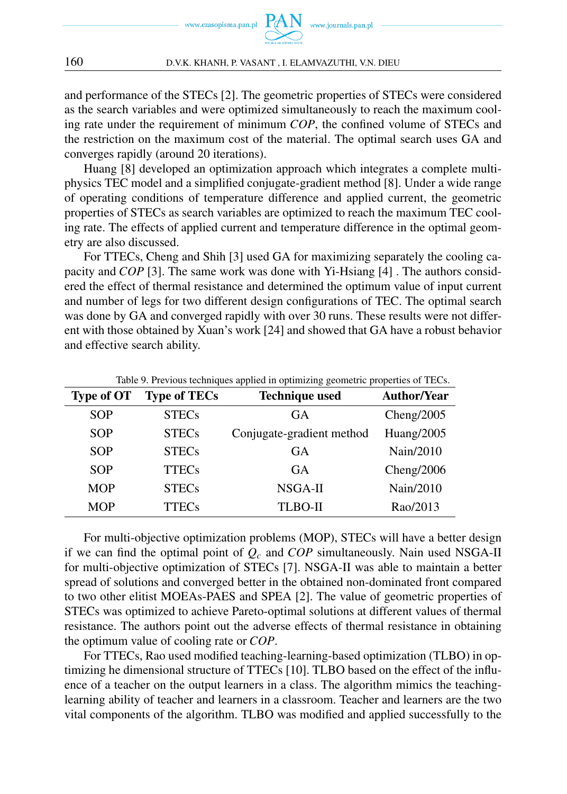

and performance of the STECs [2]. The geometric properties of STECs were considered as the search variables and were optimized simultaneously to reach the maximum cooling rate under the requirement of minimum *COP*, the confined volume of STECs and the restriction on the maximum cost of the material. The optimal search uses GA and converges rapidly (around 20 iterations).

Huang [8] developed an optimization approach which integrates a complete multiphysics TEC model and a simplified conjugate-gradient method [8]. Under a wide range of operating conditions of temperature difference and applied current, the geometric properties of STECs as search variables are optimized to reach the maximum TEC cooling rate. The effects of applied current and temperature difference in the optimal geometry are also discussed.

For TTECs, Cheng and Shih [3] used GA for maximizing separately the cooling capacity and *COP* [3]. The same work was done with Yi-Hsiang [4] . The authors considered the effect of thermal resistance and determined the optimum value of input current and number of legs for two different design configurations of TEC. The optimal search was done by GA and converged rapidly with over 30 runs. These results were not different with those obtained by Xuan's work [24] and showed that GA have a robust behavior and effective search ability.

| <b>Type of OT</b> | <b>Type of TECs</b> | <b>Technique used</b>     | <b>Author/Year</b> |
|-------------------|---------------------|---------------------------|--------------------|
| <b>SOP</b>        | <b>STECs</b>        | <b>GA</b>                 | Cheng $/2005$      |
| <b>SOP</b>        | <b>STECs</b>        | Conjugate-gradient method | Huang/2005         |
| <b>SOP</b>        | <b>STECs</b>        | <b>GA</b>                 | Nain/2010          |
| <b>SOP</b>        | <b>TTECs</b>        | <b>GA</b>                 | Cheng $/2006$      |
| <b>MOP</b>        | <b>STECs</b>        | NSGA-II                   | Nain/2010          |
| <b>MOP</b>        | <b>TTECs</b>        | <b>TLBO-II</b>            | Rao/2013           |

Table 9. Previous techniques applied in optimizing geometric properties of TECs.

For multi-objective optimization problems (MOP), STECs will have a better design if we can find the optimal point of *Q<sup>c</sup>* and *COP* simultaneously. Nain used NSGA-II for multi-objective optimization of STECs [7]. NSGA-II was able to maintain a better spread of solutions and converged better in the obtained non-dominated front compared to two other elitist MOEAs-PAES and SPEA [2]. The value of geometric properties of STECs was optimized to achieve Pareto-optimal solutions at different values of thermal resistance. The authors point out the adverse effects of thermal resistance in obtaining the optimum value of cooling rate or *COP*.

For TTECs, Rao used modified teaching-learning-based optimization (TLBO) in optimizing he dimensional structure of TTECs [10]. TLBO based on the effect of the influence of a teacher on the output learners in a class. The algorithm mimics the teachinglearning ability of teacher and learners in a classroom. Teacher and learners are the two vital components of the algorithm. TLBO was modified and applied successfully to the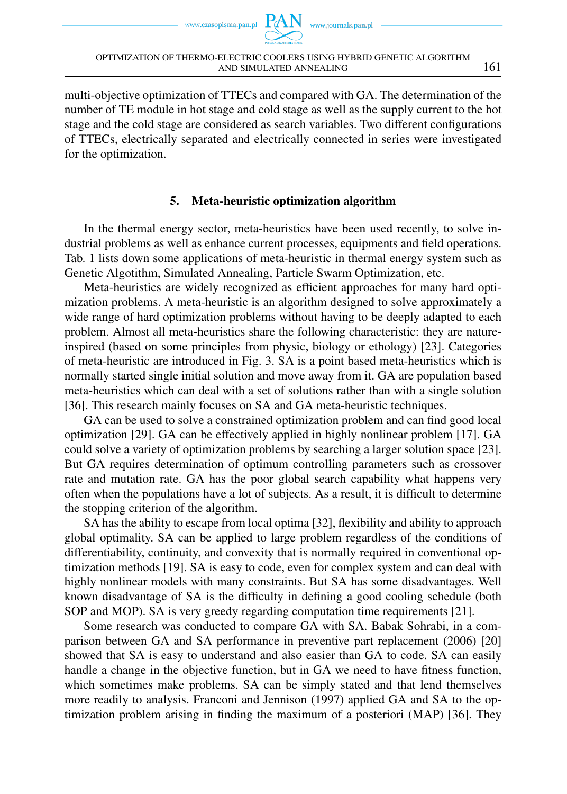www.czasopisma.pan.pl



multi-objective optimization of TTECs and compared with GA. The determination of the number of TE module in hot stage and cold stage as well as the supply current to the hot stage and the cold stage are considered as search variables. Two different configurations of TTECs, electrically separated and electrically connected in series were investigated for the optimization.

# 5. Meta-heuristic optimization algorithm

In the thermal energy sector, meta-heuristics have been used recently, to solve industrial problems as well as enhance current processes, equipments and field operations. Tab. 1 lists down some applications of meta-heuristic in thermal energy system such as Genetic Algotithm, Simulated Annealing, Particle Swarm Optimization, etc.

Meta-heuristics are widely recognized as efficient approaches for many hard optimization problems. A meta-heuristic is an algorithm designed to solve approximately a wide range of hard optimization problems without having to be deeply adapted to each problem. Almost all meta-heuristics share the following characteristic: they are natureinspired (based on some principles from physic, biology or ethology) [23]. Categories of meta-heuristic are introduced in Fig. 3. SA is a point based meta-heuristics which is normally started single initial solution and move away from it. GA are population based meta-heuristics which can deal with a set of solutions rather than with a single solution [36]. This research mainly focuses on SA and GA meta-heuristic techniques.

GA can be used to solve a constrained optimization problem and can find good local optimization [29]. GA can be effectively applied in highly nonlinear problem [17]. GA could solve a variety of optimization problems by searching a larger solution space [23]. But GA requires determination of optimum controlling parameters such as crossover rate and mutation rate. GA has the poor global search capability what happens very often when the populations have a lot of subjects. As a result, it is difficult to determine the stopping criterion of the algorithm.

SA has the ability to escape from local optima [32], flexibility and ability to approach global optimality. SA can be applied to large problem regardless of the conditions of differentiability, continuity, and convexity that is normally required in conventional optimization methods [19]. SA is easy to code, even for complex system and can deal with highly nonlinear models with many constraints. But SA has some disadvantages. Well known disadvantage of SA is the difficulty in defining a good cooling schedule (both SOP and MOP). SA is very greedy regarding computation time requirements [21].

Some research was conducted to compare GA with SA. Babak Sohrabi, in a comparison between GA and SA performance in preventive part replacement (2006) [20] showed that SA is easy to understand and also easier than GA to code. SA can easily handle a change in the objective function, but in GA we need to have fitness function, which sometimes make problems. SA can be simply stated and that lend themselves more readily to analysis. Franconi and Jennison (1997) applied GA and SA to the optimization problem arising in finding the maximum of a posteriori (MAP) [36]. They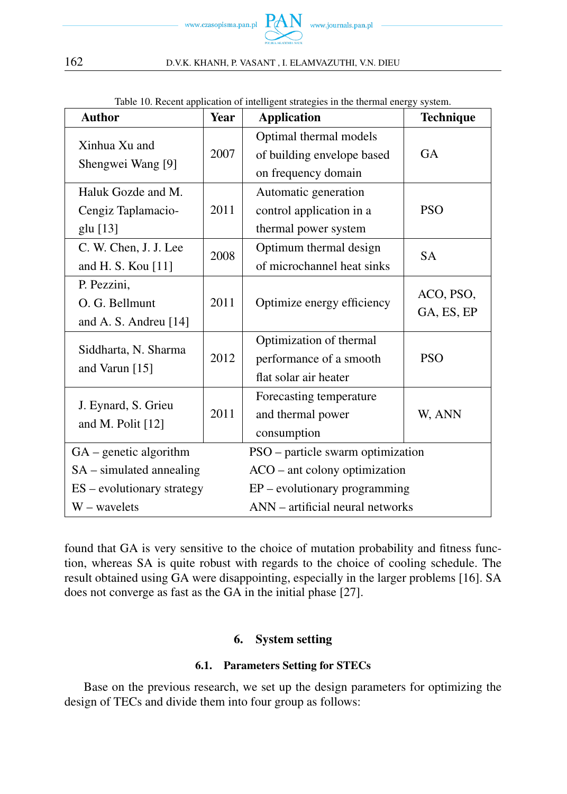

| <b>Author</b>                                          | <b>Year</b> | raoic 10. Recent application of intemgent strategies in the thermal energy system.<br><b>Application</b> | <b>Technique</b>        |  |
|--------------------------------------------------------|-------------|----------------------------------------------------------------------------------------------------------|-------------------------|--|
| Xinhua Xu and<br>Shengwei Wang [9]                     | 2007        | Optimal thermal models<br>of building envelope based<br>on frequency domain                              | <b>GA</b>               |  |
| Haluk Gozde and M.<br>Cengiz Taplamacio-<br>glu [13]   | 2011        | Automatic generation<br>control application in a<br>thermal power system                                 | <b>PSO</b>              |  |
| C. W. Chen, J. J. Lee<br>and H. S. Kou [11]            | 2008        | Optimum thermal design<br>of microchannel heat sinks                                                     | <b>SA</b>               |  |
| P. Pezzini,<br>O. G. Bellmunt<br>and A. S. Andreu [14] | 2011        | Optimize energy efficiency                                                                               | ACO, PSO,<br>GA, ES, EP |  |
| Siddharta, N. Sharma<br>and Varun [15]                 | 2012        | Optimization of thermal<br>performance of a smooth<br>flat solar air heater                              | <b>PSO</b>              |  |
| J. Eynard, S. Grieu<br>and M. Polit [12]               | 2011        | Forecasting temperature<br>and thermal power<br>consumption                                              | W, ANN                  |  |
| $GA$ – genetic algorithm                               |             | PSO - particle swarm optimization                                                                        |                         |  |
| $SA$ – simulated annealing                             |             | $ACO -$ ant colony optimization                                                                          |                         |  |
| ES – evolutionary strategy                             |             | $EP$ – evolutionary programming                                                                          |                         |  |
| $W$ – wavelets                                         |             | ANN – artificial neural networks                                                                         |                         |  |

Table 10. Recent application of intelligent strategies in the thermal energy system.

found that GA is very sensitive to the choice of mutation probability and fitness function, whereas SA is quite robust with regards to the choice of cooling schedule. The result obtained using GA were disappointing, especially in the larger problems [16]. SA does not converge as fast as the GA in the initial phase [27].

# 6. System setting

# 6.1. Parameters Setting for STECs

Base on the previous research, we set up the design parameters for optimizing the design of TECs and divide them into four group as follows: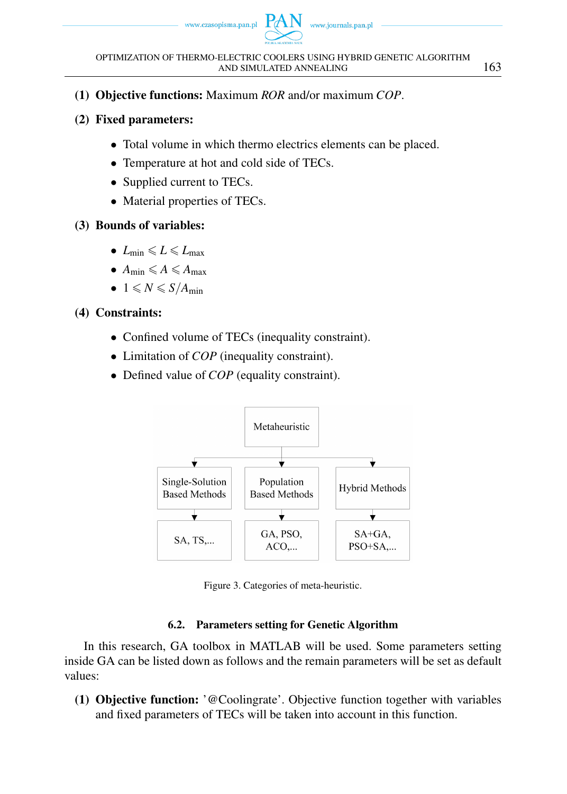

- (1) Objective functions: Maximum *ROR* and/or maximum *COP*.
- (2) Fixed parameters:
	- *•* Total volume in which thermo electrics elements can be placed.
	- *•* Temperature at hot and cold side of TECs.
	- *•* Supplied current to TECs.
	- Material properties of TECs.

# (3) Bounds of variables:

- $L_{\min} \leqslant L \leqslant L_{\max}$
- $A_{\min} \leqslant A \leqslant A_{\max}$
- 1  $\leq N \leq S/A_{\text{min}}$

# (4) Constraints:

- Confined volume of TECs (inequality constraint).
- *•* Limitation of *COP* (inequality constraint).
- Defined value of *COP* (equality constraint).



Figure 3. Categories of meta-heuristic.

# 6.2. Parameters setting for Genetic Algorithm

In this research, GA toolbox in MATLAB will be used. Some parameters setting inside GA can be listed down as follows and the remain parameters will be set as default values:

(1) Objective function: '@Coolingrate'. Objective function together with variables and fixed parameters of TECs will be taken into account in this function.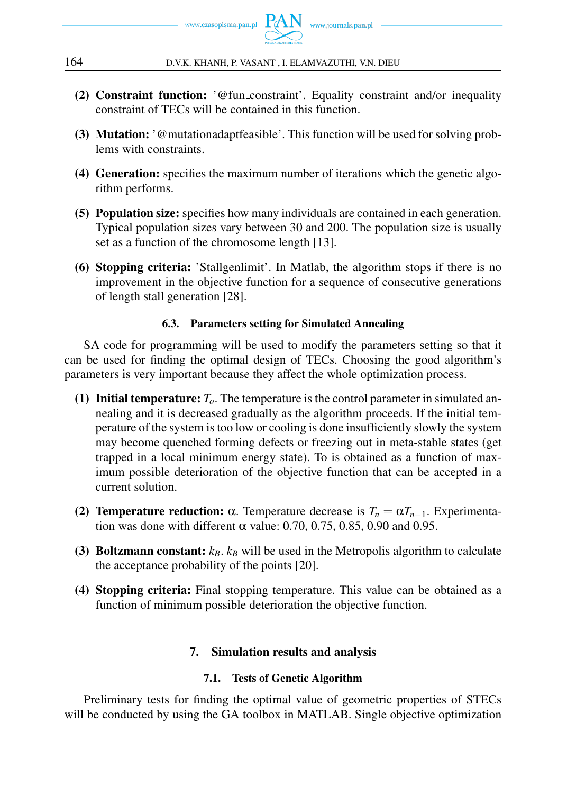

- (2) Constraint function: '@fun constraint'. Equality constraint and/or inequality constraint of TECs will be contained in this function.
- (3) Mutation: '@mutationadaptfeasible'. This function will be used for solving problems with constraints.
- (4) Generation: specifies the maximum number of iterations which the genetic algorithm performs.
- (5) Population size: specifies how many individuals are contained in each generation. Typical population sizes vary between 30 and 200. The population size is usually set as a function of the chromosome length [13].
- (6) Stopping criteria: 'Stallgenlimit'. In Matlab, the algorithm stops if there is no improvement in the objective function for a sequence of consecutive generations of length stall generation [28].

### 6.3. Parameters setting for Simulated Annealing

SA code for programming will be used to modify the parameters setting so that it can be used for finding the optimal design of TECs. Choosing the good algorithm's parameters is very important because they affect the whole optimization process.

- (1) Initial temperature:  $T<sub>o</sub>$ . The temperature is the control parameter in simulated annealing and it is decreased gradually as the algorithm proceeds. If the initial temperature of the system is too low or cooling is done insufficiently slowly the system may become quenched forming defects or freezing out in meta-stable states (get trapped in a local minimum energy state). To is obtained as a function of maximum possible deterioration of the objective function that can be accepted in a current solution.
- (2) **Temperature reduction:** α. Temperature decrease is  $T_n = \alpha T_{n-1}$ . Experimentation was done with different  $\alpha$  value: 0.70, 0.75, 0.85, 0.90 and 0.95.
- (3) Boltzmann constant:  $k_B$ .  $k_B$  will be used in the Metropolis algorithm to calculate the acceptance probability of the points [20].
- (4) Stopping criteria: Final stopping temperature. This value can be obtained as a function of minimum possible deterioration the objective function.

# 7. Simulation results and analysis

# 7.1. Tests of Genetic Algorithm

Preliminary tests for finding the optimal value of geometric properties of STECs will be conducted by using the GA toolbox in MATLAB. Single objective optimization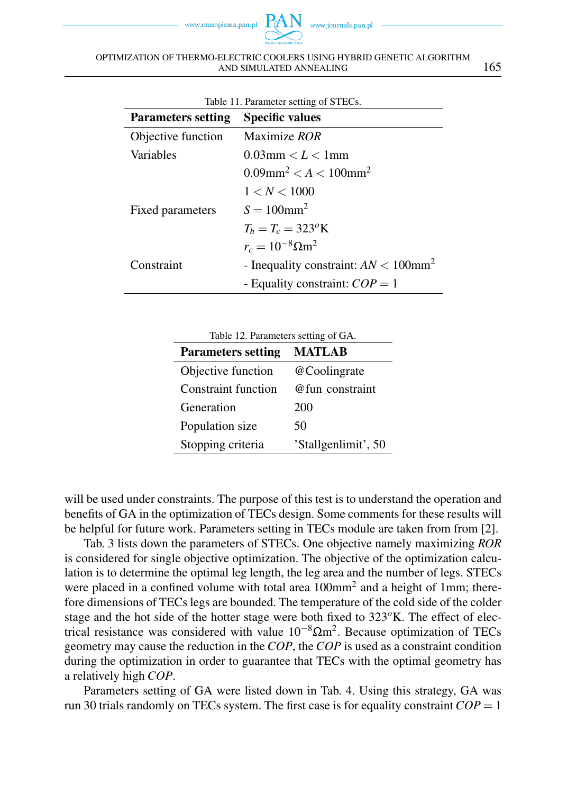www.czasopisma.pan.pl



#### OPTIMIZATION OF THERMO-ELECTRIC COOLERS USING HYBRID GENETIC ALGORITHM AND SIMULATED ANNEALING 165

| Table 11. Parameter setting of STECs. |                                                     |  |
|---------------------------------------|-----------------------------------------------------|--|
| Parameters setting                    | <b>Specific values</b>                              |  |
| Objective function                    | Maximize ROR                                        |  |
| Variables                             | $0.03$ mm $\lt L \lt 1$ mm                          |  |
|                                       | $0.09$ mm <sup>2</sup> < A < 100mm <sup>2</sup>     |  |
|                                       | 1 < N < 1000                                        |  |
| Fixed parameters                      | $S = 100$ mm <sup>2</sup>                           |  |
|                                       | $T_h = T_c = 323^{\circ}$ K                         |  |
|                                       | $r_c = 10^{-8} \Omega \text{m}^2$                   |  |
| Constraint                            | - Inequality constraint: $AN < 100$ mm <sup>2</sup> |  |
|                                       | - Equality constraint: $COP = 1$                    |  |

| Table 12. Parameters setting of GA. |                     |  |
|-------------------------------------|---------------------|--|
| <b>Parameters setting</b>           | <b>MATLAB</b>       |  |
| Objective function                  | @Coolingrate        |  |
| <b>Constraint function</b>          | @fun constraint     |  |
| Generation                          | 200                 |  |
| Population size                     | 50                  |  |
| Stopping criteria                   | 'Stallgenlimit', 50 |  |

will be used under constraints. The purpose of this test is to understand the operation and benefits of GA in the optimization of TECs design. Some comments for these results will be helpful for future work. Parameters setting in TECs module are taken from from [2].

Tab. 3 lists down the parameters of STECs. One objective namely maximizing *ROR* is considered for single objective optimization. The objective of the optimization calculation is to determine the optimal leg length, the leg area and the number of legs. STECs were placed in a confined volume with total area 100mm<sup>2</sup> and a height of 1mm; therefore dimensions of TECs legs are bounded. The temperature of the cold side of the colder stage and the hot side of the hotter stage were both fixed to  $323^{\circ}$ K. The effect of electrical resistance was considered with value 10*−*8Ωm<sup>2</sup> . Because optimization of TECs geometry may cause the reduction in the *COP*, the *COP* is used as a constraint condition during the optimization in order to guarantee that TECs with the optimal geometry has a relatively high *COP*.

Parameters setting of GA were listed down in Tab. 4. Using this strategy, GA was run 30 trials randomly on TECs system. The first case is for equality constraint  $COP = 1$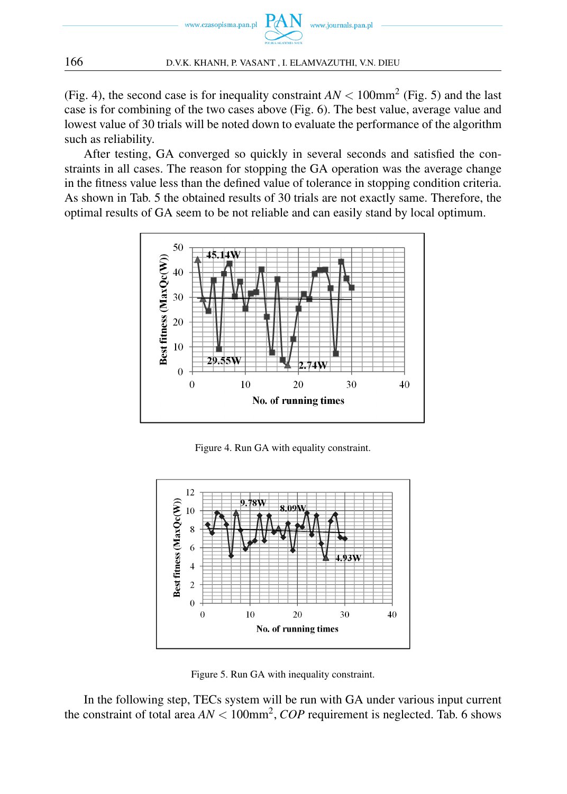

(Fig. 4), the second case is for inequality constraint  $AN < 100$  mm<sup>2</sup> (Fig. 5) and the last case is for combining of the two cases above (Fig. 6). The best value, average value and lowest value of 30 trials will be noted down to evaluate the performance of the algorithm such as reliability.

After testing, GA converged so quickly in several seconds and satisfied the constraints in all cases. The reason for stopping the GA operation was the average change in the fitness value less than the defined value of tolerance in stopping condition criteria. As shown in Tab. 5 the obtained results of 30 trials are not exactly same. Therefore, the optimal results of GA seem to be not reliable and can easily stand by local optimum.



Figure 4. Run GA with equality constraint.



Figure 5. Run GA with inequality constraint.

In the following step, TECs system will be run with GA under various input current the constraint of total area  $AN < 100$ mm<sup>2</sup>,  $COP$  requirement is neglected. Tab. 6 shows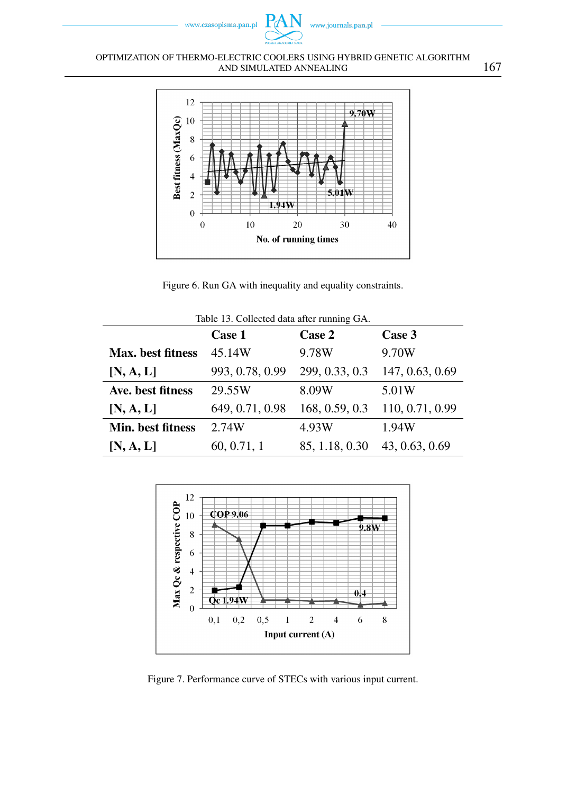

#### OPTIMIZATION OF THERMO-ELECTRIC COOLERS USING HYBRID GENETIC ALGORITHM AND SIMULATED ANNEALING 167



Figure 6. Run GA with inequality and equality constraints.

| Table 13. Collected data after running GA. |                 |                |                 |
|--------------------------------------------|-----------------|----------------|-----------------|
|                                            | <b>Case 1</b>   | Case 2         | Case 3          |
| Max. best fitness                          | 45.14W          | 9.78W          | 9.70W           |
| [N, A, L]                                  | 993, 0.78, 0.99 | 299, 0.33, 0.3 | 147, 0.63, 0.69 |
| Ave. best fitness                          | 29.55W          | 8.09W          | 5.01W           |
| [N, A, L]                                  | 649, 0.71, 0.98 | 168, 0.59, 0.3 | 110, 0.71, 0.99 |
| Min. best fitness                          | 2.74W           | 4.93W          | 1.94W           |
| [N, A, L]                                  | 60, 0.71, 1     | 85, 1.18, 0.30 | 43, 0.63, 0.69  |



Figure 7. Performance curve of STECs with various input current.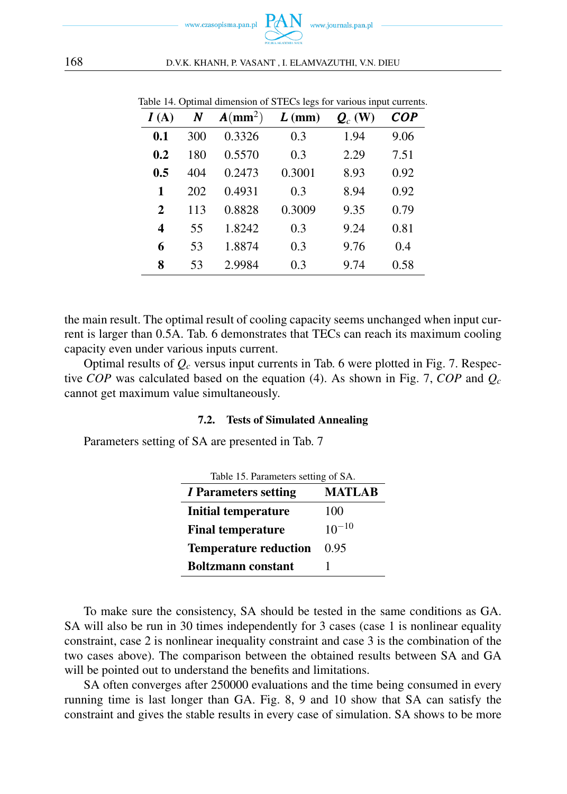

| I(A) | N   | $A/mm^2)$ | $L$ (mm) | $\mathbf{Q}_c$ (W) | <b>COP</b> |
|------|-----|-----------|----------|--------------------|------------|
| 0.1  | 300 | 0.3326    | 0.3      | 1.94               | 9.06       |
| 0.2  | 180 | 0.5570    | 0.3      | 2.29               | 7.51       |
| 0.5  | 404 | 0.2473    | 0.3001   | 8.93               | 0.92       |
| 1    | 202 | 0.4931    | 0.3      | 8.94               | 0.92       |
| 2    | 113 | 0.8828    | 0.3009   | 9.35               | 0.79       |
| 4    | 55  | 1.8242    | 0.3      | 9.24               | 0.81       |
| 6    | 53  | 1.8874    | 0.3      | 9.76               | 0.4        |
| 8    | 53  | 2.9984    | 0.3      | 9.74               | 0.58       |

Table 14. Optimal dimension of STECs legs for various input currents.

the main result. The optimal result of cooling capacity seems unchanged when input current is larger than 0.5A. Tab. 6 demonstrates that TECs can reach its maximum cooling capacity even under various inputs current.

Optimal results of *Q<sup>c</sup>* versus input currents in Tab. 6 were plotted in Fig. 7. Respective *COP* was calculated based on the equation (4). As shown in Fig. 7, *COP* and *Q<sup>c</sup>* cannot get maximum value simultaneously.

### 7.2. Tests of Simulated Annealing

Parameters setting of SA are presented in Tab. 7

| Table 15. Parameters setting of SA. |            |  |
|-------------------------------------|------------|--|
| I Parameters setting                | MATLAB     |  |
| Initial temperature                 | 100        |  |
| <b>Final temperature</b>            | $10^{-10}$ |  |
| <b>Temperature reduction</b>        | 0.95       |  |
| <b>Boltzmann</b> constant           |            |  |

To make sure the consistency, SA should be tested in the same conditions as GA. SA will also be run in 30 times independently for 3 cases (case 1 is nonlinear equality constraint, case 2 is nonlinear inequality constraint and case 3 is the combination of the two cases above). The comparison between the obtained results between SA and GA will be pointed out to understand the benefits and limitations.

SA often converges after 250000 evaluations and the time being consumed in every running time is last longer than GA. Fig. 8, 9 and 10 show that SA can satisfy the constraint and gives the stable results in every case of simulation. SA shows to be more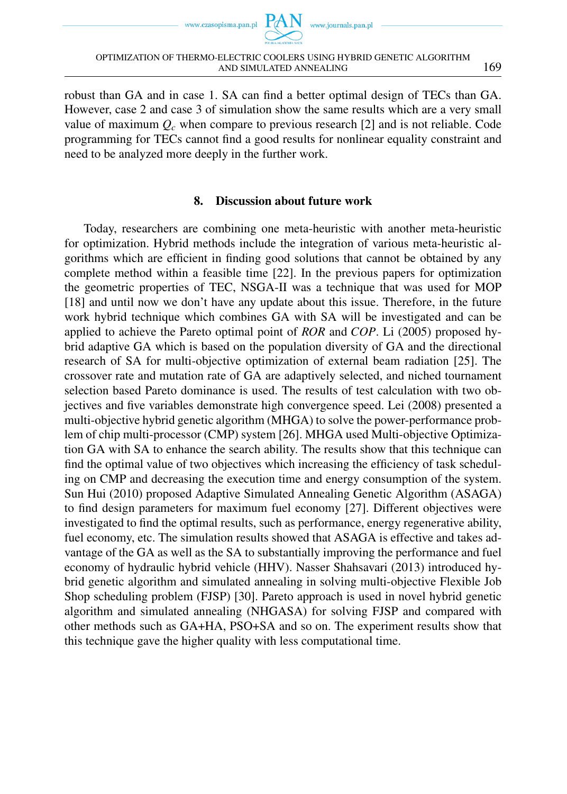www.czasopisma.pan.pl



robust than GA and in case 1. SA can find a better optimal design of TECs than GA. However, case 2 and case 3 of simulation show the same results which are a very small value of maximum  $Q_c$  when compare to previous research [2] and is not reliable. Code programming for TECs cannot find a good results for nonlinear equality constraint and need to be analyzed more deeply in the further work.

### 8. Discussion about future work

Today, researchers are combining one meta-heuristic with another meta-heuristic for optimization. Hybrid methods include the integration of various meta-heuristic algorithms which are efficient in finding good solutions that cannot be obtained by any complete method within a feasible time [22]. In the previous papers for optimization the geometric properties of TEC, NSGA-II was a technique that was used for MOP [18] and until now we don't have any update about this issue. Therefore, in the future work hybrid technique which combines GA with SA will be investigated and can be applied to achieve the Pareto optimal point of *ROR* and *COP*. Li (2005) proposed hybrid adaptive GA which is based on the population diversity of GA and the directional research of SA for multi-objective optimization of external beam radiation [25]. The crossover rate and mutation rate of GA are adaptively selected, and niched tournament selection based Pareto dominance is used. The results of test calculation with two objectives and five variables demonstrate high convergence speed. Lei (2008) presented a multi-objective hybrid genetic algorithm (MHGA) to solve the power-performance problem of chip multi-processor (CMP) system [26]. MHGA used Multi-objective Optimization GA with SA to enhance the search ability. The results show that this technique can find the optimal value of two objectives which increasing the efficiency of task scheduling on CMP and decreasing the execution time and energy consumption of the system. Sun Hui (2010) proposed Adaptive Simulated Annealing Genetic Algorithm (ASAGA) to find design parameters for maximum fuel economy [27]. Different objectives were investigated to find the optimal results, such as performance, energy regenerative ability, fuel economy, etc. The simulation results showed that ASAGA is effective and takes advantage of the GA as well as the SA to substantially improving the performance and fuel economy of hydraulic hybrid vehicle (HHV). Nasser Shahsavari (2013) introduced hybrid genetic algorithm and simulated annealing in solving multi-objective Flexible Job Shop scheduling problem (FJSP) [30]. Pareto approach is used in novel hybrid genetic algorithm and simulated annealing (NHGASA) for solving FJSP and compared with other methods such as GA+HA, PSO+SA and so on. The experiment results show that this technique gave the higher quality with less computational time.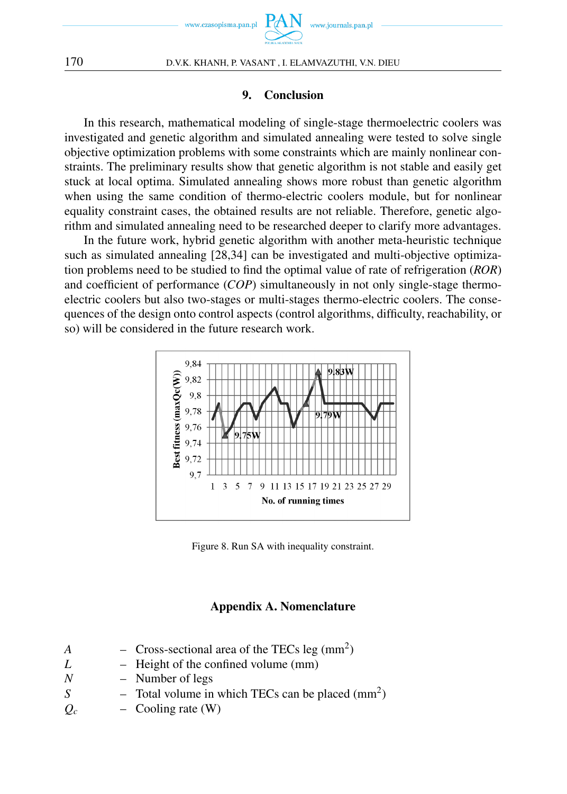

### 9. Conclusion

In this research, mathematical modeling of single-stage thermoelectric coolers was investigated and genetic algorithm and simulated annealing were tested to solve single objective optimization problems with some constraints which are mainly nonlinear constraints. The preliminary results show that genetic algorithm is not stable and easily get stuck at local optima. Simulated annealing shows more robust than genetic algorithm when using the same condition of thermo-electric coolers module, but for nonlinear equality constraint cases, the obtained results are not reliable. Therefore, genetic algorithm and simulated annealing need to be researched deeper to clarify more advantages.

In the future work, hybrid genetic algorithm with another meta-heuristic technique such as simulated annealing [28,34] can be investigated and multi-objective optimization problems need to be studied to find the optimal value of rate of refrigeration (*ROR*) and coefficient of performance (*COP*) simultaneously in not only single-stage thermoelectric coolers but also two-stages or multi-stages thermo-electric coolers. The consequences of the design onto control aspects (control algorithms, difficulty, reachability, or so) will be considered in the future research work.



Figure 8. Run SA with inequality constraint.

### Appendix A. Nomenclature

- $A$  Cross-sectional area of the TECs leg (mm<sup>2</sup>)
- *L* Height of the confined volume (mm)
- *N* Number of legs
- *S*  $-$  Total volume in which TECs can be placed  $\text{(mm}^2)$
- $Q_c$  Cooling rate (W)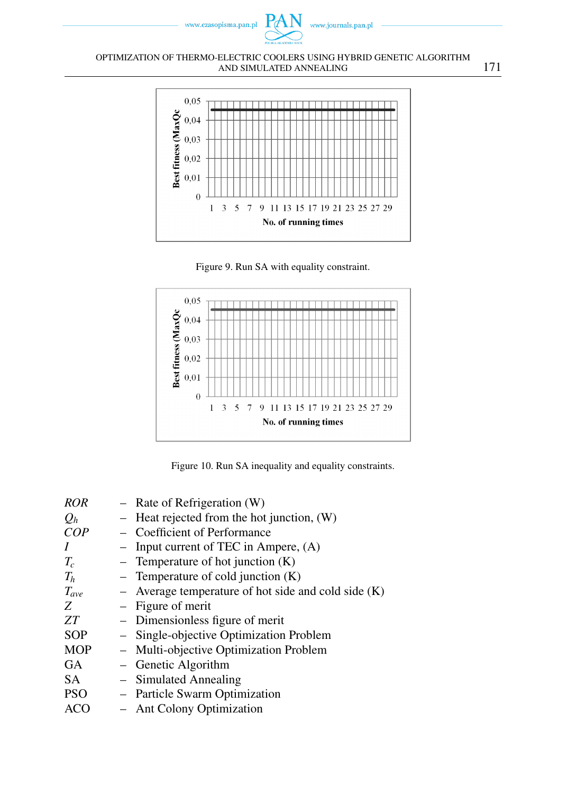

#### OPTIMIZATION OF THERMO-ELECTRIC COOLERS USING HYBRID GENETIC ALGORITHM AND SIMULATED ANNEALING 171



Figure 9. Run SA with equality constraint.



Figure 10. Run SA inequality and equality constraints.

| <b>ROR</b> | $-$ Rate of Refrigeration (W)                         |
|------------|-------------------------------------------------------|
| $Q_h$      | $-$ Heat rejected from the hot junction, $(W)$        |
| COP        | - Coefficient of Performance                          |
| $\prime$   | Input current of TEC in Ampere, (A)                   |
| $T_c$      | - Temperature of hot junction $(K)$                   |
| $T_h$      | - Temperature of cold junction $(K)$                  |
| $T_{ave}$  | - Average temperature of hot side and cold side $(K)$ |
| Z          | - Figure of merit                                     |
| ZT         | - Dimensionless figure of merit                       |
| <b>SOP</b> | - Single-objective Optimization Problem               |
| <b>MOP</b> | - Multi-objective Optimization Problem                |
| <b>GA</b>  | - Genetic Algorithm                                   |
| SA.        | - Simulated Annealing                                 |
| <b>PSO</b> | - Particle Swarm Optimization                         |
| ACO        | <b>Ant Colony Optimization</b>                        |
|            |                                                       |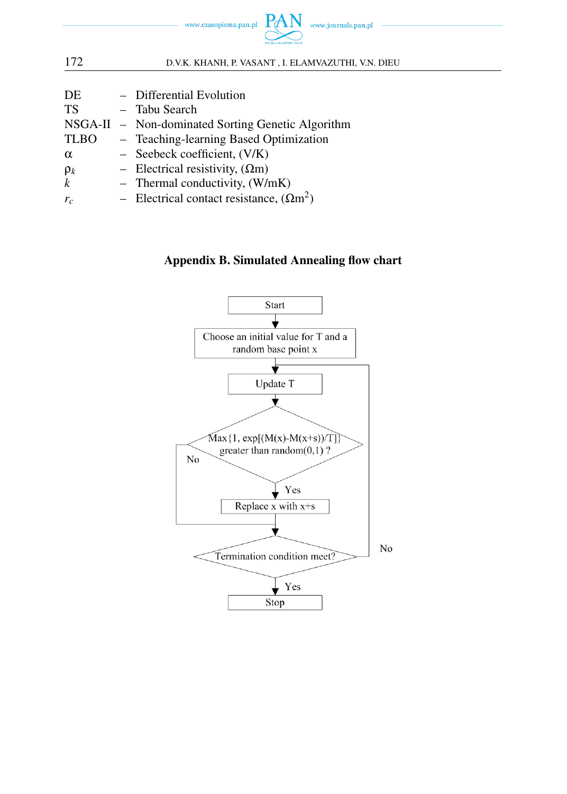

172 D.V.K. KHANH, P. VASANT , I. ELAMVAZUTHI, V.N. DIEU DE – Differential Evolution TS – Tabu Search NSGA-II – Non-dominated Sorting Genetic Algorithm TLBO – Teaching-learning Based Optimization  $\alpha$  – Seebeck coefficient, (V/K)  $\rho_k$  – Electrical resistivity,  $(\Omega m)$  $k$  – Thermal conductivity,  $(W/mK)$  $r_c$  – Electrical contact resistance,  $(\Omega m^2)$ 

# Appendix B. Simulated Annealing flow chart

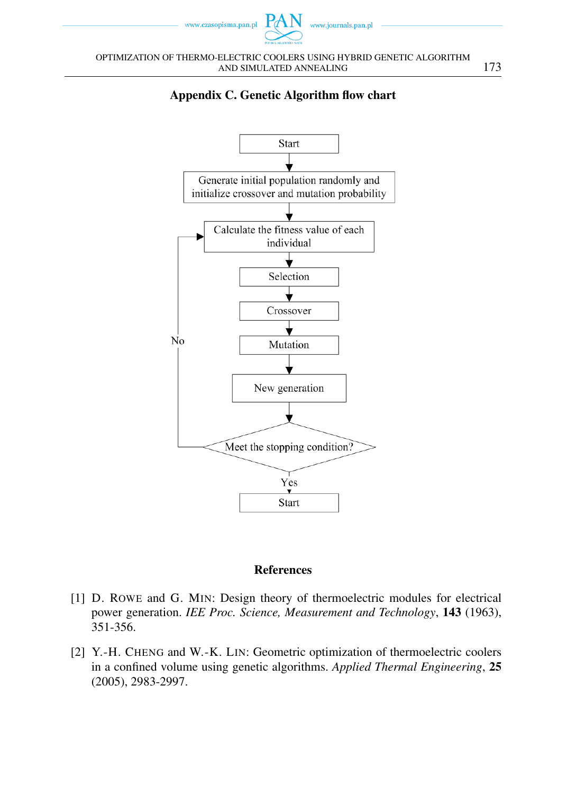





# References

- [1] D. ROWE and G. MIN: Design theory of thermoelectric modules for electrical power generation. *IEE Proc. Science, Measurement and Technology*, 143 (1963), 351-356.
- [2] Y.-H. CHENG and W.-K. LIN: Geometric optimization of thermoelectric coolers in a confined volume using genetic algorithms. *Applied Thermal Engineering*, 25 (2005), 2983-2997.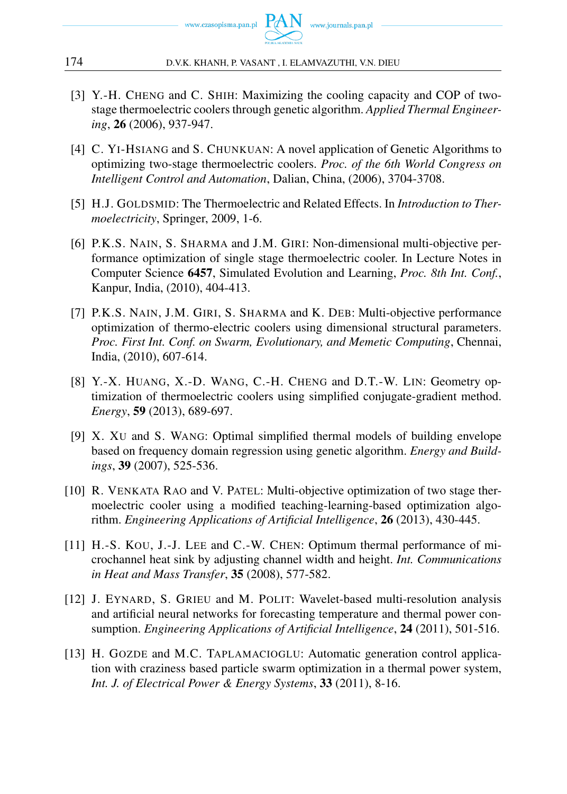

- [3] Y.-H. CHENG and C. SHIH: Maximizing the cooling capacity and COP of twostage thermoelectric coolers through genetic algorithm. *Applied Thermal Engineering*, 26 (2006), 937-947.
- [4] C. YI-HSIANG and S. CHUNKUAN: A novel application of Genetic Algorithms to optimizing two-stage thermoelectric coolers. *Proc. of the 6th World Congress on Intelligent Control and Automation*, Dalian, China, (2006), 3704-3708.
- [5] H.J. GOLDSMID: The Thermoelectric and Related Effects. In *Introduction to Thermoelectricity*, Springer, 2009, 1-6.
- [6] P.K.S. NAIN, S. SHARMA and J.M. GIRI: Non-dimensional multi-objective performance optimization of single stage thermoelectric cooler. In Lecture Notes in Computer Science 6457, Simulated Evolution and Learning, *Proc. 8th Int. Conf.*, Kanpur, India, (2010), 404-413.
- [7] P.K.S. NAIN, J.M. GIRI, S. SHARMA and K. DEB: Multi-objective performance optimization of thermo-electric coolers using dimensional structural parameters. *Proc. First Int. Conf. on Swarm, Evolutionary, and Memetic Computing*, Chennai, India, (2010), 607-614.
- [8] Y.-X. HUANG, X.-D. WANG, C.-H. CHENG and D.T.-W. LIN: Geometry optimization of thermoelectric coolers using simplified conjugate-gradient method. *Energy*, 59 (2013), 689-697.
- [9] X. XU and S. WANG: Optimal simplified thermal models of building envelope based on frequency domain regression using genetic algorithm. *Energy and Buildings*, 39 (2007), 525-536.
- [10] R. VENKATA RAO and V. PATEL: Multi-objective optimization of two stage thermoelectric cooler using a modified teaching-learning-based optimization algorithm. *Engineering Applications of Artificial Intelligence*, 26 (2013), 430-445.
- [11] H.-S. KOU, J.-J. LEE and C.-W. CHEN: Optimum thermal performance of microchannel heat sink by adjusting channel width and height. *Int. Communications in Heat and Mass Transfer*, 35 (2008), 577-582.
- [12] J. EYNARD, S. GRIEU and M. POLIT: Wavelet-based multi-resolution analysis and artificial neural networks for forecasting temperature and thermal power consumption. *Engineering Applications of Artificial Intelligence*, 24 (2011), 501-516.
- [13] H. GOZDE and M.C. TAPLAMACIOGLU: Automatic generation control application with craziness based particle swarm optimization in a thermal power system, *Int. J. of Electrical Power & Energy Systems*, 33 (2011), 8-16.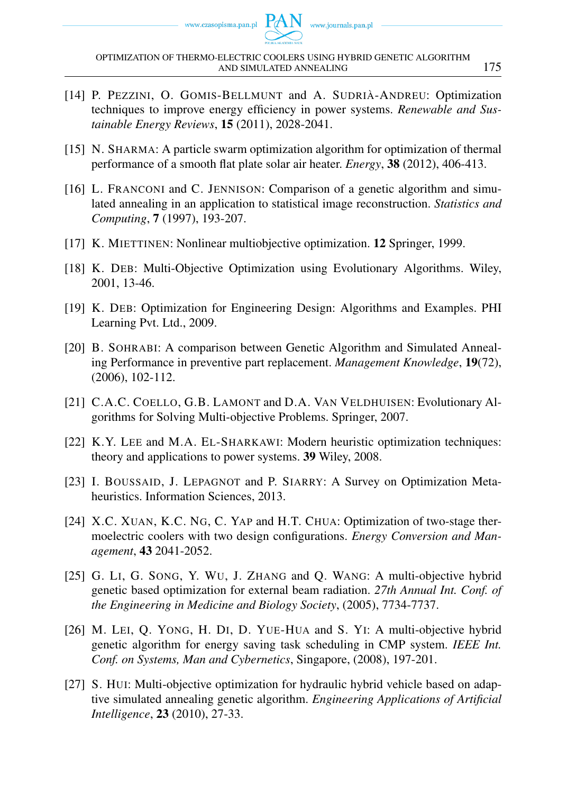- [14] P. PEZZINI, O. GOMIS-BELLMUNT and A. SUDRIÀ-ANDREU: Optimization techniques to improve energy efficiency in power systems. *Renewable and Sustainable Energy Reviews*, 15 (2011), 2028-2041.
- [15] N. SHARMA: A particle swarm optimization algorithm for optimization of thermal performance of a smooth flat plate solar air heater. *Energy*, 38 (2012), 406-413.
- [16] L. FRANCONI and C. JENNISON: Comparison of a genetic algorithm and simulated annealing in an application to statistical image reconstruction. *Statistics and Computing*, 7 (1997), 193-207.
- [17] K. MIETTINEN: Nonlinear multiobjective optimization. 12 Springer, 1999.
- [18] K. DEB: Multi-Objective Optimization using Evolutionary Algorithms. Wiley, 2001, 13-46.
- [19] K. DEB: Optimization for Engineering Design: Algorithms and Examples. PHI Learning Pvt. Ltd., 2009.
- [20] B. SOHRABI: A comparison between Genetic Algorithm and Simulated Annealing Performance in preventive part replacement. *Management Knowledge*, 19(72), (2006), 102-112.
- [21] C.A.C. COELLO, G.B. LAMONT and D.A. VAN VELDHUISEN: Evolutionary Algorithms for Solving Multi-objective Problems. Springer, 2007.
- [22] K.Y. LEE and M.A. EL-SHARKAWI: Modern heuristic optimization techniques: theory and applications to power systems. 39 Wiley, 2008.
- [23] I. BOUSSAID, J. LEPAGNOT and P. SIARRY: A Survey on Optimization Metaheuristics. Information Sciences, 2013.
- [24] X.C. XUAN, K.C. NG, C. YAP and H.T. CHUA: Optimization of two-stage thermoelectric coolers with two design configurations. *Energy Conversion and Management*, 43 2041-2052.
- [25] G. LI, G. SONG, Y. WU, J. ZHANG and Q. WANG: A multi-objective hybrid genetic based optimization for external beam radiation. *27th Annual Int. Conf. of the Engineering in Medicine and Biology Society*, (2005), 7734-7737.
- [26] M. LEI, Q. YONG, H. DI, D. YUE-HUA and S. YI: A multi-objective hybrid genetic algorithm for energy saving task scheduling in CMP system. *IEEE Int. Conf. on Systems, Man and Cybernetics*, Singapore, (2008), 197-201.
- [27] S. HUI: Multi-objective optimization for hydraulic hybrid vehicle based on adaptive simulated annealing genetic algorithm. *Engineering Applications of Artificial Intelligence*, 23 (2010), 27-33.